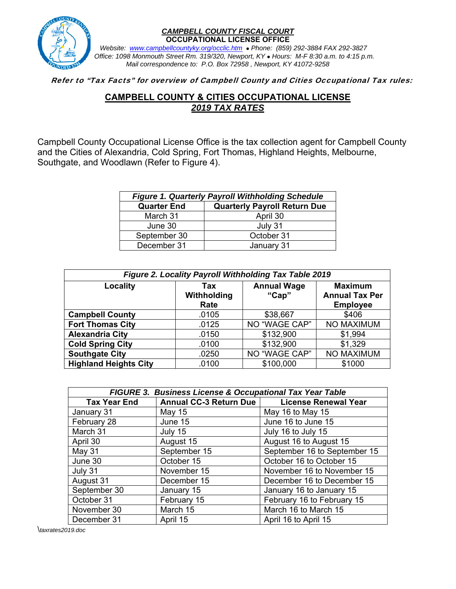

## *CAMPBELL COUNTY FISCAL COURT*  **OCCUPATIONAL LICENSE OFFICE**

 *Website:**www.campbellcountyky.org/occlic.htm* *Phone: (859) 292-3884 FAX 292-3827 Office: 1098 Monmouth Street Rm. 319/320, Newport, KY Hours: M-F 8:30 a.m. to 4:15 p.m. Mail correspondence to: P.O. Box 72958 , Newport, KY 41072-9258*

## Refer to "Tax Facts" for overview of Campbell County and Cities Occupational Tax rules:

## **CAMPBELL COUNTY & CITIES OCCUPATIONAL LICENSE**  *2019 TAX RATES*

Campbell County Occupational License Office is the tax collection agent for Campbell County and the Cities of Alexandria, Cold Spring, Fort Thomas, Highland Heights, Melbourne, Southgate, and Woodlawn (Refer to Figure 4).

| <b>Figure 1. Quarterly Payroll Withholding Schedule</b>   |            |  |  |
|-----------------------------------------------------------|------------|--|--|
| <b>Quarterly Payroll Return Due</b><br><b>Quarter End</b> |            |  |  |
| March 31                                                  | April 30   |  |  |
| June 30                                                   | July 31    |  |  |
| September 30                                              | October 31 |  |  |
| December 31                                               | January 31 |  |  |

| Figure 2. Locality Payroll Withholding Tax Table 2019 |                            |                             |                                                            |  |
|-------------------------------------------------------|----------------------------|-----------------------------|------------------------------------------------------------|--|
| Locality                                              | Tax<br>Withholding<br>Rate | <b>Annual Wage</b><br>"Cap" | <b>Maximum</b><br><b>Annual Tax Per</b><br><b>Employee</b> |  |
| <b>Campbell County</b>                                | .0105                      | \$38,667                    | \$406                                                      |  |
| <b>Fort Thomas City</b>                               | .0125                      | NO "WAGE CAP"               | <b>NO MAXIMUM</b>                                          |  |
| <b>Alexandria City</b>                                | .0150                      | \$132,900                   | \$1,994                                                    |  |
| <b>Cold Spring City</b>                               | .0100                      | \$132,900                   | \$1,329                                                    |  |
| <b>Southgate City</b>                                 | .0250                      | NO "WAGE CAP"               | NO MAXIMUM                                                 |  |
| <b>Highland Heights City</b>                          | .0100                      | \$100,000                   | \$1000                                                     |  |

| FIGURE 3. Business License & Occupational Tax Year Table |                        |                              |  |  |
|----------------------------------------------------------|------------------------|------------------------------|--|--|
| <b>Tax Year End</b>                                      | Annual CC-3 Return Due | <b>License Renewal Year</b>  |  |  |
| January 31                                               | May 15                 | May 16 to May 15             |  |  |
| February 28                                              | June 15                | June 16 to June 15           |  |  |
| March 31                                                 | July 15                | July 16 to July 15           |  |  |
| April 30                                                 | August 15              | August 16 to August 15       |  |  |
| May 31                                                   | September 15           | September 16 to September 15 |  |  |
| June 30                                                  | October 15             | October 16 to October 15     |  |  |
| July 31                                                  | November 15            | November 16 to November 15   |  |  |
| August 31                                                | December 15            | December 16 to December 15   |  |  |
| September 30                                             | January 15             | January 16 to January 15     |  |  |
| October 31                                               | February 15            | February 16 to February 15   |  |  |
| November 30                                              | March 15               | March 16 to March 15         |  |  |
| December 31                                              | April 15               | April 16 to April 15         |  |  |

\*taxrates2019.doc*